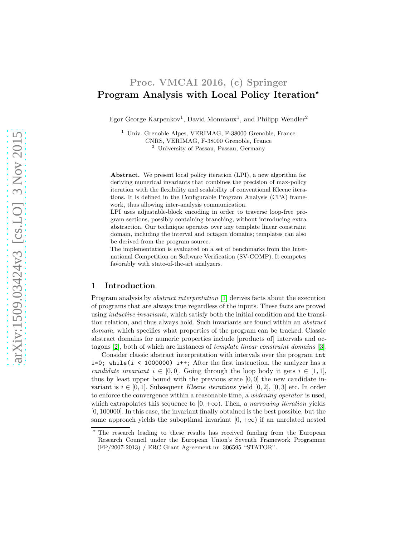# Proc. VMCAI 2016, (c) Springer Program Analysis with Local Policy Iteration\*

Egor George Karpenkov<sup>1</sup>, David Monniaux<sup>1</sup>, and Philipp Wendler<sup>2</sup>

<sup>1</sup> Univ. Grenoble Alpes, VERIMAG, F-38000 Grenoble, France CNRS, VERIMAG, F-38000 Grenoble, France <sup>2</sup> University of Passau, Passau, Germany

Abstract. We present local policy iteration (LPI), a new algorithm for deriving numerical invariants that combines the precision of max-policy iteration with the flexibility and scalability of conventional Kleene iterations. It is defined in the Configurable Program Analysis (CPA) framework, thus allowing inter-analysis communication.

LPI uses adjustable-block encoding in order to traverse loop-free program sections, possibly containing branching, without introducing extra abstraction. Our technique operates over any template linear constraint domain, including the interval and octagon domains; templates can also be derived from the program source.

The implementation is evaluated on a set of benchmarks from the International Competition on Software Verification (SV-COMP). It competes favorably with state-of-the-art analyzers.

## 1 Introduction

Program analysis by abstract interpretation [\[1\]](#page-17-0) derives facts about the execution of programs that are always true regardless of the inputs. These facts are proved using inductive invariants, which satisfy both the initial condition and the transition relation, and thus always hold. Such invariants are found within an abstract domain, which specifies what properties of the program can be tracked. Classic abstract domains for numeric properties include [products of] intervals and octagons [2], both of which are instances of template linear constraint domains [\[3\]](#page-17-1).

Consider classic abstract interpretation with intervals over the program int  $i=0$ ; while( $i < 1000000$ )  $i++$ ; After the first instruction, the analyzer has a candidate invariant  $i \in [0, 0]$ . Going through the loop body it gets  $i \in [1, 1]$ , thus by least upper bound with the previous state  $[0, 0]$  the new candidate invariant is  $i \in [0, 1]$ . Subsequent Kleene iterations yield [0, 2], [0, 3] etc. In order to enforce the convergence within a reasonable time, a widening operator is used, which extrapolates this sequence to  $[0, +\infty)$ . Then, a narrowing iteration yields [0, 100000]. In this case, the invariant finally obtained is the best possible, but the same approach yields the suboptimal invariant  $[0, +\infty)$  if an unrelated nested

<sup>⋆</sup> The research leading to these results has received funding from the European Research Council under the European Union's Seventh Framework Programme (FP/2007-2013) / ERC Grant Agreement nr. 306595 "STATOR".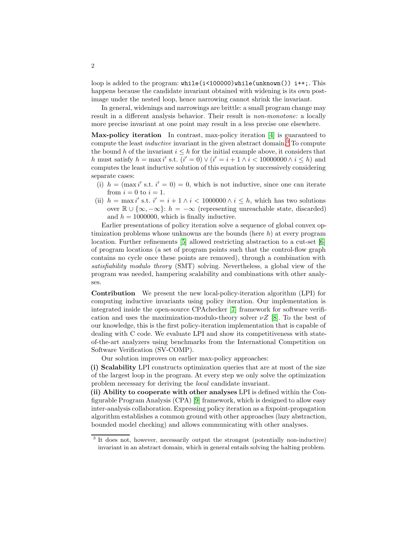loop is added to the program: while(i<100000)while(unknown()) i++;. This happens because the candidate invariant obtained with widening is its own postimage under the nested loop, hence narrowing cannot shrink the invariant.

In general, widenings and narrowings are brittle: a small program change may result in a different analysis behavior. Their result is non-monotone: a locally more precise invariant at one point may result in a less precise one elsewhere.

Max-policy iteration In contrast, max-policy iteration [\[4\]](#page-17-2) is guaranteed to compute the least *inductive* invariant in the given abstract domain.<sup>[3](#page-1-0)</sup> To compute the bound h of the invariant  $i \leq h$  for the initial example above, it considers that h must satisfy  $h = \max i'$  s.t.  $(i' = 0) \vee (i' = i + 1 \wedge i < 10000000 \wedge i \leq h)$  and computes the least inductive solution of this equation by successively considering separate cases:

- (i)  $h = (\max i' \text{ s.t. } i' = 0) = 0$ , which is not inductive, since one can iterate from  $i = 0$  to  $i = 1$ .
- (ii)  $h = \max i'$  s.t.  $i' = i + 1 \wedge i < 1000000 \wedge i \leq h$ , which has two solutions over  $\mathbb{R} \cup \{\infty, -\infty\}$ :  $h = -\infty$  (representing unreachable state, discarded) and  $h = 1000000$ , which is finally inductive.

Earlier presentations of policy iteration solve a sequence of global convex optimization problems whose unknowns are the bounds (here h) at every program location. Further refinements [\[5\]](#page-17-3) allowed restricting abstraction to a cut-set [\[6\]](#page-17-4) of program locations (a set of program points such that the control-flow graph contains no cycle once these points are removed), through a combination with satisfiability modulo theory (SMT) solving. Nevertheless, a global view of the program was needed, hampering scalability and combinations with other analyses.

Contribution We present the new local-policy-iteration algorithm (LPI) for computing inductive invariants using policy iteration. Our implementation is integrated inside the open-source CPAchecker [\[7\]](#page-17-5) framework for software verification and uses the maximization-modulo-theory solver  $\nu Z$  [\[8\]](#page-17-6). To the best of our knowledge, this is the first policy-iteration implementation that is capable of dealing with C code. We evaluate LPI and show its competitiveness with stateof-the-art analyzers using benchmarks from the International Competition on Software Verification (SV-COMP).

Our solution improves on earlier max-policy approaches:

(i) Scalability LPI constructs optimization queries that are at most of the size of the largest loop in the program. At every step we only solve the optimization problem necessary for deriving the local candidate invariant.

(ii) Ability to cooperate with other analyses LPI is defined within the Configurable Program Analysis (CPA) [\[9\]](#page-17-7) framework, which is designed to allow easy inter-analysis collaboration. Expressing policy iteration as a fixpoint-propagation algorithm establishes a common ground with other approaches (lazy abstraction, bounded model checking) and allows communicating with other analyses.

<span id="page-1-0"></span><sup>&</sup>lt;sup>3</sup> It does not, however, necessarily output the strongest (potentially non-inductive) invariant in an abstract domain, which in general entails solving the halting problem.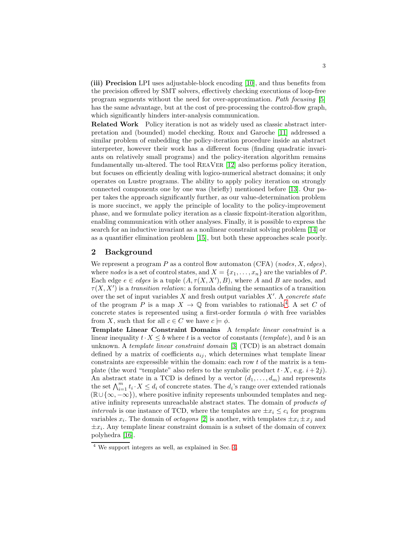(iii) Precision LPI uses adjustable-block encoding [\[10\]](#page-18-0), and thus benefits from the precision offered by SMT solvers, effectively checking executions of loop-free program segments without the need for over-approximation. Path focusing [\[5\]](#page-17-3) has the same advantage, but at the cost of pre-processing the control-flow graph, which significantly hinders inter-analysis communication.

Related Work Policy iteration is not as widely used as classic abstract interpretation and (bounded) model checking. Roux and Garoche [\[11\]](#page-18-1) addressed a similar problem of embedding the policy-iteration procedure inside an abstract interpreter, however their work has a different focus (finding quadratic invariants on relatively small programs) and the policy-iteration algorithm remains fundamentally un-altered. The tool ReaVer [\[12\]](#page-18-2) also performs policy iteration, but focuses on efficiently dealing with logico-numerical abstract domains; it only operates on Lustre programs. The ability to apply policy iteration on strongly connected components one by one was (briefly) mentioned before [\[13\]](#page-18-3). Our paper takes the approach significantly further, as our value-determination problem is more succinct, we apply the principle of locality to the policy-improvement phase, and we formulate policy iteration as a classic fixpoint-iteration algorithm, enabling communication with other analyses. Finally, it is possible to express the search for an inductive invariant as a nonlinear constraint solving problem [\[14\]](#page-18-4) or as a quantifier elimination problem [\[15\]](#page-18-5), but both these approaches scale poorly.

## 2 Background

We represent a program  $P$  as a control flow automaton (CFA) (nodes, X, edges), where nodes is a set of control states, and  $X = \{x_1, \ldots, x_n\}$  are the variables of P. Each edge  $e \in edges$  is a tuple  $(A, \tau(X, X'), B)$ , where A and B are nodes, and  $\tau(X, X)$  is a transition relation: a formula defining the semantics of a transition over the set of input variables  $X$  and fresh output variables  $X'$ . A concrete state of the program P is a map  $X \to \mathbb{Q}$  from variables to rationals<sup>[4](#page-2-0)</sup>. A set C of concrete states is represented using a first-order formula  $\phi$  with free variables from X, such that for all  $c \in C$  we have  $c \models \phi$ .

Template Linear Constraint Domains A template linear constraint is a linear inequality  $t\cdot X \leq b$  where t is a vector of constants (template), and b is an unknown. A template linear constraint domain [\[3\]](#page-17-1) (TCD) is an abstract domain defined by a matrix of coefficients  $a_{ij}$ , which determines what template linear constraints are expressible within the domain: each row t of the matrix is a template (the word "template" also refers to the symbolic product  $t\cdot X$ , e.g.  $i+2j$ ). An abstract state in a TCD is defined by a vector  $(d_1, \ldots, d_m)$  and represents the set  $\bigwedge_{i=1}^m t_i \cdot X \leq d_i$  of concrete states. The  $d_i$ 's range over extended rationals  $(\mathbb{R}\cup\{\infty,-\infty\})$ , where positive infinity represents unbounded templates and negative infinity represents unreachable abstract states. The domain of products of intervals is one instance of TCD, where the templates are  $\pm x_i \leq c_i$  for program variables  $x_i$ . The domain of *octagons* [2] is another, with templates  $\pm x_i \pm x_j$  and  $\pm x_i$ . Any template linear constraint domain is a subset of the domain of convex polyhedra [\[16\]](#page-18-6).

<span id="page-2-0"></span><sup>4</sup> We support integers as well, as explained in Sec. [4.](#page-12-0)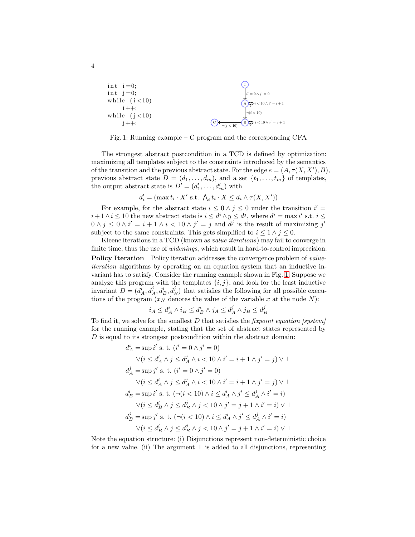<span id="page-3-0"></span>

Fig. 1: Running example – C program and the corresponding CFA

The strongest abstract postcondition in a TCD is defined by optimization: maximizing all templates subject to the constraints introduced by the semantics of the transition and the previous abstract state. For the edge  $e = (A, \tau(X, X'), B)$ , previous abstract state  $D = (d_1, \ldots, d_m)$ , and a set  $\{t_1, \ldots, t_m\}$  of templates, the output abstract state is  $D' = (d'_1, \ldots, d'_m)$  with

$$
d'_i = (\max t_i \cdot X' \text{ s.t. } \bigwedge_i t_i \cdot X \leq d_i \wedge \tau(X, X'))
$$

For example, for the abstract state  $i \leq 0 \land j \leq 0$  under the transition  $i' =$  $i+1 \wedge i \leq 10$  the new abstract state is  $i \leq d^i \wedge y \leq d^j$ , where  $d^i = \max i'$  s.t.  $i \leq$  $0 \wedge j \leq 0 \wedge i' = i + 1 \wedge i < 10 \wedge j' = j$  and  $d^j$  is the result of maximizing  $j'$ subject to the same constraints. This gets simplified to  $i \leq 1 \land j \leq 0$ .

Kleene iterations in a TCD (known as value iterations) may fail to converge in finite time, thus the use of widenings, which result in hard-to-control imprecision. **Policy Iteration** Policy iteration addresses the convergence problem of *value*iteration algorithms by operating on an equation system that an inductive invariant has to satisfy. Consider the running example shown in Fig. [1.](#page-3-0) Suppose we analyze this program with the templates  $\{i, j\}$ , and look for the least inductive invariant  $D = (d_A^i, d_A^j, d_B^i, d_B^j)$  that satisfies the following for all possible executions of the program  $(x_N)$  denotes the value of the variable x at the node N):

$$
i_A \leq d_A^i \wedge i_B \leq d_B^i \wedge j_A \leq d_A^j \wedge j_B \leq d_B^j
$$

To find it, we solve for the smallest  $D$  that satisfies the *fixpoint equation [system]* for the running example, stating that the set of abstract states represented by  $D$  is equal to its strongest postcondition within the abstract domain:

$$
\begin{split} d_A^i&=\sup{i'}\text{ s. t. }(i'=0\land j'=0)\\ &\vee(i\leq d_A^i\land j\leq d_A^j\land i<10\land i'=i+1\land j'=j)\lor\bot\\ d_A^j&=\sup{j'}\text{ s. t. }(i'=0\land j'=0)\\ &\vee(i\leq d_A^i\land j\leq d_A^j\land i<10\land i'=i+1\land j'=j)\lor\bot\\ d_B^i&=\sup{i'}\text{ s. t. }(\neg(i<10)\land i\leq d_A^i\land j'\leq d_A^j\land i'=i)\\ &\vee(i\leq d_B^i\land j\leq d_B^j\land j<10\land j'=j+1\land i'=i)\lor\bot\\ d_B^j&=\sup{j'}\text{ s. t. }(\neg(i<10)\land i\leq d_A^i\land j'\leq d_A^j\land i'=i)\\ &\vee(i\leq d_B^i\land j\leq d_B^j\land j<10\land j'=j+1\land i'=i)\lor\bot \end{split}
$$

Note the equation structure: (i) Disjunctions represent non-deterministic choice for a new value. (ii) The argument  $\perp$  is added to all disjunctions, representing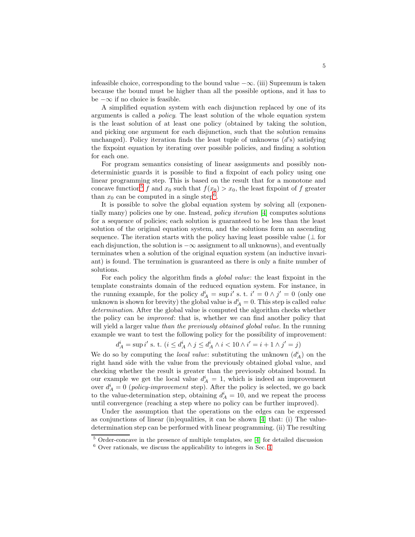infeasible choice, corresponding to the bound value  $-\infty$ . (iii) Supremum is taken because the bound must be higher than all the possible options, and it has to be  $-\infty$  if no choice is feasible.

A simplified equation system with each disjunction replaced by one of its arguments is called a policy. The least solution of the whole equation system is the least solution of at least one policy (obtained by taking the solution, and picking one argument for each disjunction, such that the solution remains unchanged). Policy iteration finds the least tuple of unknowns  $(d's)$  satisfying the fixpoint equation by iterating over possible policies, and finding a solution for each one.

For program semantics consisting of linear assignments and possibly nondeterministic guards it is possible to find a fixpoint of each policy using one linear programming step. This is based on the result that for a monotone and concave function<sup>[5](#page-4-0)</sup> f and  $x_0$  such that  $f(x_0) > x_0$ , the least fixpoint of f greater than  $x_0$  can be computed in a single step<sup>[6](#page-4-1)</sup>.

It is possible to solve the global equation system by solving all (exponentially many) policies one by one. Instead, policy iteration [\[4\]](#page-17-2) computes solutions for a sequence of policies; each solution is guaranteed to be less than the least solution of the original equation system, and the solutions form an ascending sequence. The iteration starts with the policy having least possible value ( $\perp$  for each disjunction, the solution is  $-\infty$  assignment to all unknowns), and eventually terminates when a solution of the original equation system (an inductive invariant) is found. The termination is guaranteed as there is only a finite number of solutions.

For each policy the algorithm finds a global value: the least fixpoint in the template constraints domain of the reduced equation system. For instance, in the running example, for the policy  $d_A^i = \sup_i i'$  s. t.  $i' = 0 \wedge j' = 0$  (only one unknown is shown for brevity) the global value is  $d_A^i = 0$ . This step is called *value* determination. After the global value is computed the algorithm checks whether the policy can be improved: that is, whether we can find another policy that will yield a larger value than the previously obtained global value. In the running example we want to test the following policy for the possibility of improvement:

 $d_A^i = \sup i'$ s. t.  $(i \leq d_A^i \wedge j \leq d_A^i \wedge i < 10 \wedge i' = i + 1 \wedge j' = j)$ 

We do so by computing the *local value*: substituting the unknown  $(d_A^i)$  on the right hand side with the value from the previously obtained global value, and checking whether the result is greater than the previously obtained bound. In our example we get the local value  $d_A^i = 1$ , which is indeed an improvement over  $d_A^i = 0$  (*policy-improvement* step). After the policy is selected, we go back to the value-determination step, obtaining  $d_A^i = 10$ , and we repeat the process until convergence (reaching a step where no policy can be further improved).

Under the assumption that the operations on the edges can be expressed as conjunctions of linear (in)equalities, it can be shown  $[4]$  that: (i) The valuedetermination step can be performed with linear programming. (ii) The resulting

 $\frac{5}{6}$  Order-concave in the presence of multiple templates, see [\[4\]](#page-17-2) for detailed discussion

<span id="page-4-1"></span><span id="page-4-0"></span> $6$  Over rationals, we discuss the applicability to integers in Sec. [4](#page-12-0)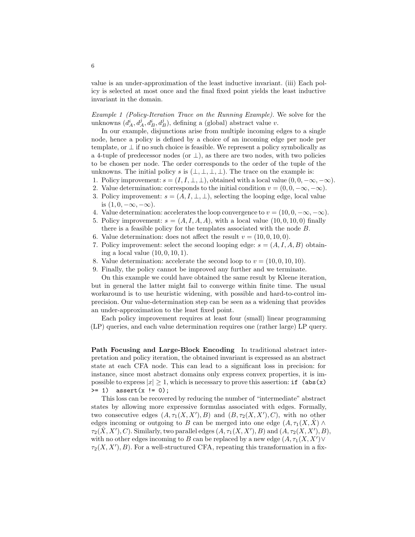value is an under-approximation of the least inductive invariant. (iii) Each policy is selected at most once and the final fixed point yields the least inductive invariant in the domain.

Example 1 (Policy-Iteration Trace on the Running Example). We solve for the unknowns  $(d_A^i, d_A^j, d_B^i, d_B^j)$ , defining a (global) abstract value v.

In our example, disjunctions arise from multiple incoming edges to a single node, hence a policy is defined by a choice of an incoming edge per node per template, or  $\perp$  if no such choice is feasible. We represent a policy symbolically as a 4-tuple of predecessor nodes (or  $\perp$ ), as there are two nodes, with two policies to be chosen per node. The order corresponds to the order of the tuple of the unknowns. The initial policy s is  $(\perp, \perp, \perp)$ . The trace on the example is:

- 1. Policy improvement:  $s = (I, I, \perp, \perp)$ , obtained with a local value  $(0, 0, -\infty, -\infty)$ .
- 2. Value determination: corresponds to the initial condition  $v = (0, 0, -\infty, -\infty)$ . 3. Policy improvement:  $s = (A, I, \perp, \perp)$ , selecting the looping edge, local value
- is  $(1, 0, -\infty, -\infty)$ . 4. Value determination: accelerates the loop convergence to  $v = (10, 0, -\infty, -\infty)$ .
- 5. Policy improvement:  $s = (A, I, A, A)$ , with a local value  $(10, 0, 10, 0)$  finally there is a feasible policy for the templates associated with the node B.
- 6. Value determination: does not affect the result  $v = (10, 0, 10, 0)$ .
- 7. Policy improvement: select the second looping edge:  $s = (A, I, A, B)$  obtaining a local value (10, 0, 10, 1).
- <span id="page-5-0"></span>8. Value determination: accelerate the second loop to  $v = (10, 0, 10, 10)$ .
- 9. Finally, the policy cannot be improved any further and we terminate.

On this example we could have obtained the same result by Kleene iteration, but in general the latter might fail to converge within finite time. The usual workaround is to use heuristic widening, with possible and hard-to-control imprecision. Our value-determination step can be seen as a widening that provides an under-approximation to the least fixed point.

Each policy improvement requires at least four (small) linear programming (LP) queries, and each value determination requires one (rather large) LP query.

Path Focusing and Large-Block Encoding In traditional abstract interpretation and policy iteration, the obtained invariant is expressed as an abstract state at each CFA node. This can lead to a significant loss in precision: for instance, since most abstract domains only express convex properties, it is impossible to express  $|x| \geq 1$ , which is necessary to prove this assertion: if (abs(x)  $>= 1$ ) assert(x  $!= 0$ );

This loss can be recovered by reducing the number of "intermediate" abstract states by allowing more expressive formulas associated with edges. Formally, two consecutive edges  $(A, \tau_1(X, X'), B)$  and  $(B, \tau_2(X, X'), C)$ , with no other edges incoming or outgoing to B can be merged into one edge  $(A, \tau_1(X, \tilde{X}) \wedge$  $\tau_2(X, X'), C$ ). Similarly, two parallel edges  $(A, \tau_1(X, X'), B)$  and  $(A, \tau_2(X, X'), B)$ , with no other edges incoming to B can be replaced by a new edge  $(A, \tau_1(X, X') \vee$  $\tau_2(X,X'), B$ ). For a well-structured CFA, repeating this transformation in a fix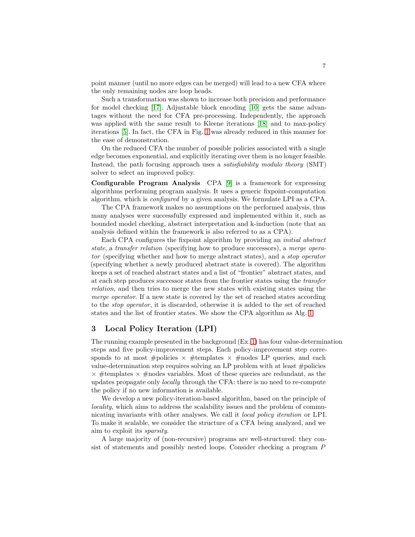point manner (until no more edges can be merged) will lead to a new CFA where the only remaining nodes are loop heads.

Such a transformation was shown to increase both precision and performance for model checking [\[17\]](#page-18-7). Adjustable block encoding [\[10\]](#page-18-0) gets the same advantages without the need for CFA pre-processing. Independently, the approach was applied with the same result to Kleene iterations [\[18\]](#page-18-8) and to max-policy iterations [\[5\]](#page-17-3). In fact, the CFA in Fig. [1](#page-3-0) was already reduced in this manner for the ease of demonstration.

On the reduced CFA the number of possible policies associated with a single edge becomes exponential, and explicitly iterating over them is no longer feasible. Instead, the path focusing approach uses a satisfiability modulo theory (SMT) solver to select an improved policy.

Configurable Program Analysis CPA [\[9\]](#page-17-7) is a framework for expressing algorithms performing program analysis. It uses a generic fixpoint-computation algorithm, which is configured by a given analysis. We formulate LPI as a CPA.

The CPA framework makes no assumptions on the performed analysis, thus many analyses were successfully expressed and implemented within it, such as bounded model checking, abstract interpretation and k-induction (note that an analysis defined within the framework is also referred to as a CPA).

Each CPA configures the fixpoint algorithm by providing an initial abstract state, a transfer relation (specifying how to produce successors), a merge operator (specifying whether and how to merge abstract states), and a stop operator (specifying whether a newly produced abstract state is covered). The algorithm keeps a set of reached abstract states and a list of "frontier" abstract states, and at each step produces successor states from the frontier states using the transfer relation, and then tries to merge the new states with existing states using the merge operator. If a new state is covered by the set of reached states according to the stop operator, it is discarded, otherwise it is added to the set of reached states and the list of frontier states. We show the CPA algorithm as Alg. [1.](#page-7-0)

# <span id="page-6-0"></span>3 Local Policy Iteration (LPI)

The running example presented in the background (Ex. [1\)](#page-5-0) has four value-determination steps and five policy-improvement steps. Each policy-improvement step corresponds to at most #policies  $\times$  #templates  $\times$  #nodes LP queries, and each value-determination step requires solving an LP problem with at least  $#$ policies  $\times$  #templates  $\times$  #nodes variables. Most of these queries are redundant, as the updates propagate only locally through the CFA: there is no need to re-compute the policy if no new information is available.

We develop a new policy-iteration-based algorithm, based on the principle of locality, which aims to address the scalability issues and the problem of communicating invariants with other analyses. We call it local policy iteration or LPI. To make it scalable, we consider the structure of a CFA being analyzed, and we aim to exploit its sparsity.

A large majority of (non-recursive) programs are well-structured: they consist of statements and possibly nested loops. Consider checking a program P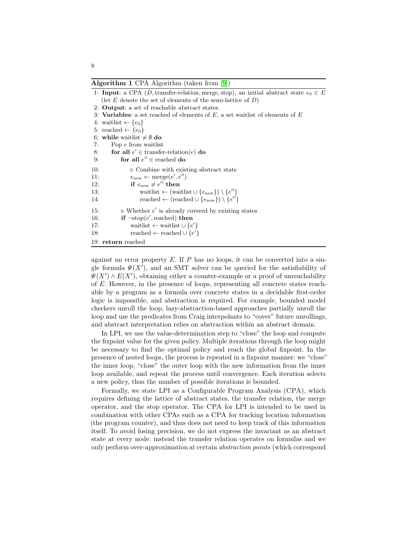#### <span id="page-7-0"></span>Algorithm 1 CPA Algorithm (taken from [\[9\]](#page-17-7))

| 1: Input: a CPA (D, transfer-relation, merge, stop), an initial abstract state $e_0 \in E$ |
|--------------------------------------------------------------------------------------------|
| (let $E$ denote the set of elements of the semi-lattice of $D$ )                           |
| 2: <b>Output</b> : a set of reachable abstract states                                      |
| 3: Variables: a set reached of elements of $E$ , a set waitlist of elements of $E$         |
| 4: waitlist $\leftarrow \{e_0\}$                                                           |
| 5: reached $\leftarrow \{e_0\}$                                                            |
| 6: while waitlist $\neq \emptyset$ do                                                      |
| Pop $e$ from waitlist<br>7:                                                                |
| for all $e' \in \text{transfer-relation}(e)$ do<br>8:                                      |
| for all $e'' \in$ reached do<br>9:                                                         |
| 10:<br>$\triangleright$ Combine with existing abstract state                               |
| $e_{\text{new}} \leftarrow \text{merge}(e', e'')$<br>11:                                   |
| if $e_{\text{new}} \neq e''$ then<br>12:                                                   |
| waitlist $\leftarrow$ (waitlist $\cup$ { $e_{\text{new}}$ }) \ { $e''$ }<br>13:            |
| reached $\leftarrow$ (reached $\cup$ { $e_{\text{new}}$ }) \ { $e''$ }<br>14:              |
| $\triangleright$ Whether $e'$ is already covered by existing states<br>15:                 |
| if $\neg stop(e', reached)$ then<br>16:                                                    |
| waitlist $\leftarrow$ waitlist $\cup$ { $e'$ }<br>17:                                      |
| reached $\leftarrow$ reached $\cup \{e'\}$<br>18:                                          |
| 19: return reached                                                                         |
|                                                                                            |

against an error property  $E$ . If  $P$  has no loops, it can be converted into a single formula  $\Psi(X')$ , and an SMT solver can be queried for the satisfiability of  $\Psi(X') \wedge E(X')$ , obtaining either a counter-example or a proof of unreachability of E. However, in the presence of loops, representing all concrete states reachable by a program as a formula over concrete states in a decidable first-order logic is impossible, and abstraction is required. For example, bounded model checkers unroll the loop, lazy-abstraction-based approaches partially unroll the loop and use the predicates from Craig interpolants to "cover" future unrollings, and abstract interpretation relies on abstraction within an abstract domain.

In LPI, we use the value-determination step to "close" the loop and compute the fixpoint value for the given policy. Multiple iterations through the loop might be necessary to find the optimal policy and reach the global fixpoint. In the presence of nested loops, the process is repeated in a fixpoint manner: we "close" the inner loop, "close" the outer loop with the new information from the inner loop available, and repeat the process until convergence. Each iteration selects a new policy, thus the number of possible iterations is bounded.

Formally, we state LPI as a Configurable Program Analysis (CPA), which requires defining the lattice of abstract states, the transfer relation, the merge operator, and the stop operator. The CPA for LPI is intended to be used in combination with other CPAs such as a CPA for tracking location information (the program counter), and thus does not need to keep track of this information itself. To avoid losing precision, we do not express the invariant as an abstract state at every node: instead the transfer relation operates on formulas and we only perform over-approximation at certain abstraction points (which correspond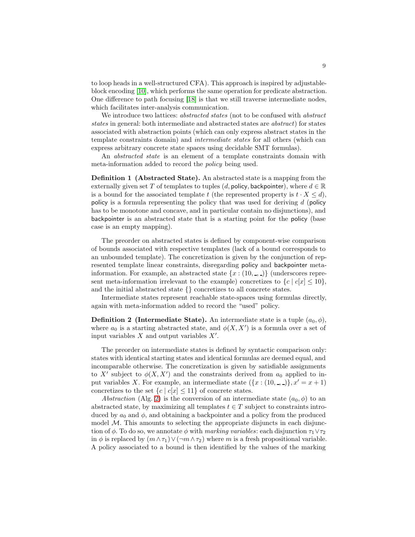to loop heads in a well-structured CFA). This approach is inspired by adjustableblock encoding [\[10\]](#page-18-0), which performs the same operation for predicate abstraction. One difference to path focusing [\[18\]](#page-18-8) is that we still traverse intermediate nodes, which facilitates inter-analysis communication.

We introduce two lattices: *abstracted states* (not to be confused with *abstract* states in general: both intermediate and abstracted states are abstract) for states associated with abstraction points (which can only express abstract states in the template constraints domain) and intermediate states for all others (which can express arbitrary concrete state spaces using decidable SMT formulas).

An abstracted state is an element of a template constraints domain with meta-information added to record the policy being used.

Definition 1 (Abstracted State). An abstracted state is a mapping from the externally given set T of templates to tuples  $(d, \text{policy}, \text{backpointer})$ , where  $d \in \mathbb{R}$ is a bound for the associated template t (the represented property is  $t \cdot X \leq d$ ). policy is a formula representing the policy that was used for deriving  $d$  (policy has to be monotone and concave, and in particular contain no disjunctions), and backpointer is an abstracted state that is a starting point for the policy (base case is an empty mapping).

The preorder on abstracted states is defined by component-wise comparison of bounds associated with respective templates (lack of a bound corresponds to an unbounded template). The concretization is given by the conjunction of represented template linear constraints, disregarding policy and backpointer metainformation. For example, an abstracted state  $\{x : (10, 0, 0)\}$  (underscores represent meta-information irrelevant to the example) concretizes to  ${c | c[x] \le 10}$ , and the initial abstracted state {} concretizes to all concrete states.

Intermediate states represent reachable state-spaces using formulas directly, again with meta-information added to record the "used" policy.

**Definition 2** (Intermediate State). An intermediate state is a tuple  $(a_0, \phi)$ , where  $a_0$  is a starting abstracted state, and  $\phi(X, X')$  is a formula over a set of input variables  $X$  and output variables  $X'$ .

The preorder on intermediate states is defined by syntactic comparison only: states with identical starting states and identical formulas are deemed equal, and incomparable otherwise. The concretization is given by satisfiable assignments to X' subject to  $\phi(X, X')$  and the constraints derived from  $a_0$  applied to input variables X. For example, an intermediate state  $({x : (10, 1, 1)}, x' = x + 1)$ concretizes to the set  ${c | c|x \le 11}$  of concrete states.

Abstraction (Alg. [2\)](#page-9-0) is the conversion of an intermediate state  $(a_0, \phi)$  to an abstracted state, by maximizing all templates  $t \in T$  subject to constraints introduced by  $a_0$  and  $\phi$ , and obtaining a backpointer and a policy from the produced model  $M$ . This amounts to selecting the appropriate disjuncts in each disjunction of  $\phi$ . To do so, we annotate  $\phi$  with marking variables: each disjunction  $\tau_1 \vee \tau_2$ in  $\phi$  is replaced by  $(m \wedge \tau_1) \vee (\neg m \wedge \tau_2)$  where m is a fresh propositional variable. A policy associated to a bound is then identified by the values of the marking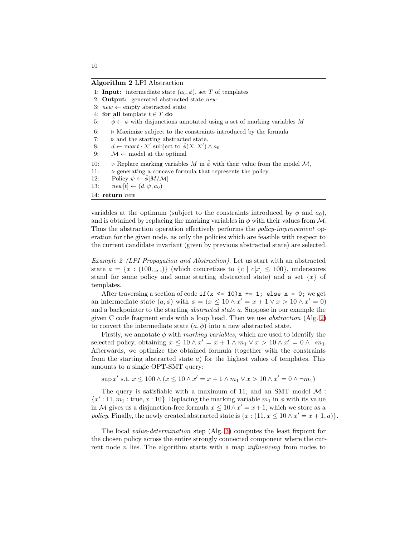<span id="page-9-0"></span>Algorithm 2 LPI Abstraction

1: **Input:** intermediate state  $(a_0, \phi)$ , set T of templates 2: Output: generated abstracted state new 3:  $new \leftarrow \text{empty abstracted state}$ 4: for all template  $t \in T$  do 5:  $\phi \leftarrow \phi$  with disjunctions annotated using a set of marking variables M 6: ⊲ Maximize subject to the constraints introduced by the formula 7:  $\rho$  and the starting abstracted state. 8:  $d \leftarrow \max t \cdot X'$  subject to  $\hat{\phi}(X, X') \wedge a_0$ 9:  $\mathcal{M} \leftarrow \text{model}$  at the optimal 10:  $\triangleright$  Replace marking variables M in  $\hat{\phi}$  with their value from the model M, 11: ⊲ generating a concave formula that represents the policy. 12: Policy  $\psi \leftarrow \phi[M/M]$ 13:  $new[t] \leftarrow (d, \psi, a_0)$ 14: return new

variables at the optimum (subject to the constraints introduced by  $\phi$  and  $a_0$ ), and is obtained by replacing the marking variables in  $\phi$  with their values from M. Thus the abstraction operation effectively performs the policy-improvement operation for the given node, as only the policies which are feasible with respect to the current candidate invariant (given by previous abstracted state) are selected.

Example 2 (LPI Propagation and Abstraction). Let us start with an abstracted state  $a = \{x : (100, \ldots)\}\$  (which concretizes to  $\{c \mid c|x| \leq 100\}\$ , underscores stand for some policy and some starting abstracted state) and a set  $\{x\}$  of templates.

After traversing a section of code if  $(x \le 10)x$  += 1; else  $x = 0$ ; we get an intermediate state  $(a, \phi)$  with  $\phi = (x \leq 10 \land x' = x + 1 \lor x > 10 \land x' = 0)$ and a backpointer to the starting abstracted state a. Suppose in our example the given C code fragment ends with a loop head. Then we use abstraction (Alg. [2\)](#page-9-0) to convert the intermediate state  $(a, \phi)$  into a new abstracted state.

Firstly, we annotate  $\phi$  with *marking variables*, which are used to identify the selected policy, obtaining  $x \leq 10 \wedge x' = x + 1 \wedge m_1 \vee x > 10 \wedge x' = 0 \wedge \neg m_1$ . Afterwards, we optimize the obtained formula (together with the constraints from the starting abstracted state  $a$ ) for the highest values of templates. This amounts to a single OPT-SMT query:

 $\sup x'$  s.t.  $x \le 100 \wedge (x \le 10 \wedge x' = x + 1 \wedge m_1 \vee x > 10 \wedge x' = 0 \wedge \neg m_1)$ 

The query is satisfiable with a maximum of 11, and an SMT model  $\mathcal M$ :  ${x':11, m_1 :}$  true,  ${x:10}$ . Replacing the marking variable  $m_1$  in  $\phi$  with its value in M gives us a disjunction-free formula  $x \leq 10 \wedge x' = x + 1$ , which we store as a policy. Finally, the newly created abstracted state is  $\{x : (11, x \leq 10 \land x' = x + 1, a)\}.$ 

The local value-determination step (Alg. [3\)](#page-11-0) computes the least fixpoint for the chosen policy across the entire strongly connected component where the current node n lies. The algorithm starts with a map  $\mathit{influencing}$  from nodes to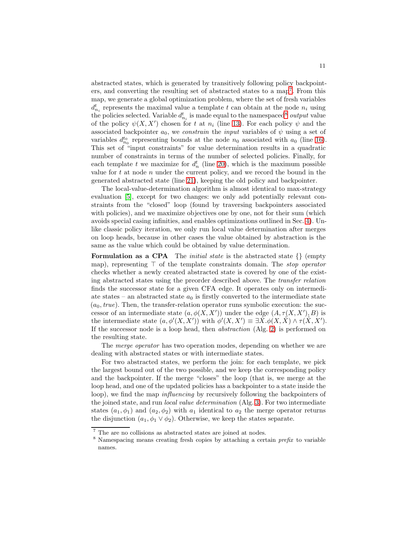abstracted states, which is generated by transitively following policy backpointers, and converting the resulting set of abstracted states to a map[7](#page-10-0) . From this map, we generate a global optimization problem, where the set of fresh variables  $d_{n_i}^t$  represents the maximal value a template t can obtain at the node  $n_i$  using the policies selected. Variable  $d_{n_i}^t$  is made equal to the namespaced<sup>[8](#page-10-1)</sup> output value of the policy  $\psi(X, X')$  chosen for t at  $n_i$  (line [13\)](#page-11-1). For each policy  $\psi$  and the associated backpointer  $a_0$ , we constrain the input variables of  $\psi$  using a set of variables  $d_{n_0}^{t_0}$  representing bounds at the node  $n_0$  associated with  $a_0$  (line [16\)](#page-11-2). This set of "input constraints" for value determination results in a quadratic number of constraints in terms of the number of selected policies. Finally, for each template t we maximize for  $d_n^t$  (line [20\)](#page-11-3), which is the maximum possible value for  $t$  at node  $n$  under the current policy, and we record the bound in the generated abstracted state (line [21\)](#page-11-4), keeping the old policy and backpointer.

The local-value-determination algorithm is almost identical to max-strategy evaluation [\[5\]](#page-17-3), except for two changes: we only add potentially relevant constraints from the "closed" loop (found by traversing backpointers associated with policies), and we maximize objectives one by one, not for their sum (which avoids special casing infinities, and enables optimizations outlined in Sec. [4\)](#page-12-0). Unlike classic policy iteration, we only run local value determination after merges on loop heads, because in other cases the value obtained by abstraction is the same as the value which could be obtained by value determination.

**Formulation as a CPA** The *initial state* is the abstracted state  $\{\}\$  (empty map), representing  $\top$  of the template constraints domain. The stop operator checks whether a newly created abstracted state is covered by one of the existing abstracted states using the preorder described above. The transfer relation finds the successor state for a given CFA edge. It operates only on intermediate states – an abstracted state  $a_0$  is firstly converted to the intermediate state  $(a_0, true)$ . Then, the transfer-relation operator runs symbolic execution: the successor of an intermediate state  $(a, \phi(X, X'))$  under the edge  $(A, \tau(X, X'), B)$  is the intermediate state  $(a, \phi'(X, X'))$  with  $\phi'(X, X') \equiv \exists \tilde{X} . \phi(X, \hat{X}) \wedge \tau(\hat{X}, X').$ If the successor node is a loop head, then abstraction (Alg. [2\)](#page-9-0) is performed on the resulting state.

The merge operator has two operation modes, depending on whether we are dealing with abstracted states or with intermediate states.

For two abstracted states, we perform the join: for each template, we pick the largest bound out of the two possible, and we keep the corresponding policy and the backpointer. If the merge "closes" the loop (that is, we merge at the loop head, and one of the updated policies has a backpointer to a state inside the loop), we find the map *influencing* by recursively following the backpointers of the joined state, and run local value determination (Alg. [3\)](#page-11-0). For two intermediate states  $(a_1, \phi_1)$  and  $(a_2, \phi_2)$  with  $a_1$  identical to  $a_2$  the merge operator returns the disjunction  $(a_1, \phi_1 \vee \phi_2)$ . Otherwise, we keep the states separate.

<sup>7</sup> The are no collisions as abstracted states are joined at nodes.

<span id="page-10-1"></span><span id="page-10-0"></span> $8$  Namespacing means creating fresh copies by attaching a certain *prefix* to variable names.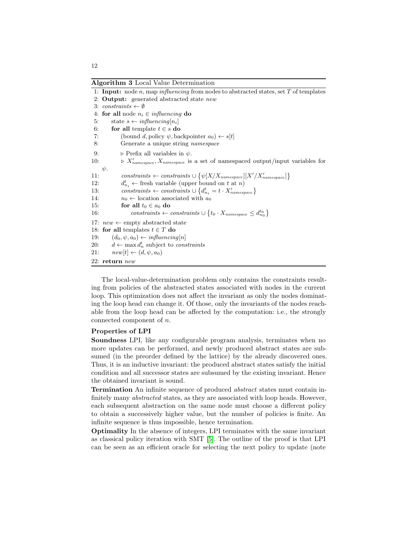<span id="page-11-0"></span>Algorithm 3 Local Value Determination

1: **Input:** node *n*, map *influencing* from nodes to abstracted states, set  $T$  of templates 2: Output: generated abstracted state new 3: constraints  $\leftarrow \emptyset$ 4: for all node  $n_i \in influencing$  do 5: state  $s \leftarrow \text{influencing}[n_i]$ 6: for all template  $t \in s$  do 7: (bound d, policy  $\psi$ , backpointer  $a_0$ )  $\leftarrow s[t]$ 8: Generate a unique string namespace 9:  $\rhd$  Prefix all variables in  $\psi$ . 10:  $\triangleright X'_{namespace}, X_{namespace}$  is a set of namespaced output/input variables for  $\psi$ . 11: constraints ← constraints  $\cup \{\psi[X/X_{namespace}][X'/X'_{namespace}]\}$  $12:$  $t_{n_i}$  ← fresh variable (upper bound on t at n) 13: constraints ← constraints  $\cup \{d_{n_i}^t = t \cdot X'_{namespace}\}$ 14:  $n_0 \leftarrow$  location associated with  $a_0$ 15: for all  $t_0 \in a_0$  do 16: constraints ← constraints  $\cup \{t_0 \cdot X_{namespace} \leq d_{n_0}^{t_0}\}$ 17:  $\mathit{new} \leftarrow \mathsf{empty}$  abstracted state 18: for all templates  $t \in T$  do 19:  $(d_0, \psi, a_0) \leftarrow \inf$ uencing[n] 20:  $d \leftarrow \max d_n^t$  subject to *constraints* 21:  $new[t] \leftarrow (d, \psi, a_0)$ 22: return new

<span id="page-11-4"></span><span id="page-11-3"></span><span id="page-11-2"></span><span id="page-11-1"></span>The local-value-determination problem only contains the constraints resulting from policies of the abstracted states associated with nodes in the current loop. This optimization does not affect the invariant as only the nodes dominating the loop head can change it. Of those, only the invariants of the nodes reachable from the loop head can be affected by the computation: i.e., the strongly connected component of n.

#### Properties of LPI

Soundness LPI, like any configurable program analysis, terminates when no more updates can be performed, and newly produced abstract states are subsumed (in the preorder defined by the lattice) by the already discovered ones. Thus, it is an inductive invariant: the produced abstract states satisfy the initial condition and all successor states are subsumed by the existing invariant. Hence the obtained invariant is sound.

**Termination** An infinite sequence of produced *abstract* states must contain infinitely many abstracted states, as they are associated with loop heads. However, each subsequent abstraction on the same node must choose a different policy to obtain a successively higher value, but the number of policies is finite. An infinite sequence is thus impossible, hence termination.

Optimality In the absence of integers, LPI terminates with the same invariant as classical policy iteration with SMT [\[5\]](#page-17-3). The outline of the proof is that LPI can be seen as an efficient oracle for selecting the next policy to update (note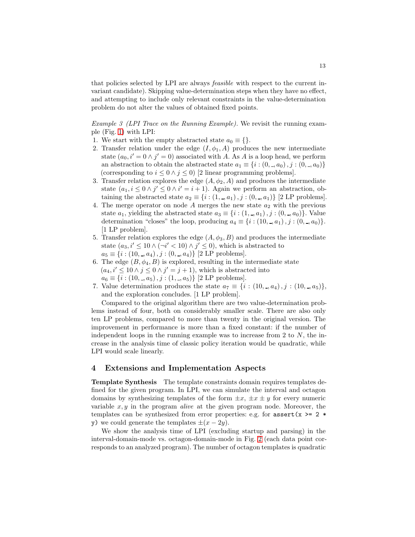that policies selected by LPI are always feasible with respect to the current invariant candidate). Skipping value-determination steps when they have no effect, and attempting to include only relevant constraints in the value-determination problem do not alter the values of obtained fixed points.

Example 3 (LPI Trace on the Running Example). We revisit the running example (Fig. [1\)](#page-3-0) with LPI:

- 1. We start with the empty abstracted state  $a_0 \equiv \{\}.$
- 2. Transfer relation under the edge  $(I, \phi_1, A)$  produces the new intermediate state  $(a_0, i' = 0 \land j' = 0)$  associated with A. As A is a loop head, we perform an abstraction to obtain the abstracted state  $a_1 \equiv \{i : (0, \_, a_0), j : (0, \_, a_0)\}\,$ (corresponding to  $i \leq 0 \land j \leq 0$ ) [2 linear programming problems].
- 3. Transfer relation explores the edge  $(A, \phi_2, A)$  and produces the intermediate state  $(a_1, i \leq 0 \land j' \leq 0 \land i' = i + 1)$ . Again we perform an abstraction, obtaining the abstracted state  $a_2 \equiv \{i : (1, ., a_1), j : (0, ., a_1)\}\$  [2 LP problems].
- 4. The merge operator on node  $A$  merges the new state  $a_2$  with the previous state  $a_1$ , yielding the abstracted state  $a_3 \equiv \{i : (1, \ldots, a_1), j : (0, \ldots, a_0)\}\.$  Value determination "closes" the loop, producing  $a_4 \equiv \{i : (10, ., a_1), j : (0, ., a_0)\}.$ [1 LP problem].
- 5. Transfer relation explores the edge  $(A, \phi_3, B)$  and produces the intermediate state  $(a_3, i' \leq 10 \wedge (\neg i' < 10) \wedge j' \leq 0)$ , which is abstracted to  $a_5 \equiv \{i : (10, ., a_4), j : (0, ., a_4)\}\;[2 \text{ LP problems}].$
- 6. The edge  $(B, \phi_4, B)$  is explored, resulting in the intermediate state  $(a_4, i' \leq 10 \land j \leq 0 \land j' = j + 1)$ , which is abstracted into  $a_6 \equiv \{i : (10, ., a_5), j : (1, ., a_5)\}\;[2 \text{ LP problems}].$
- 7. Value determination produces the state  $a_7 \equiv \{i : (10, \cdot, a_4), j : (10, \cdot, a_5)\},\$ and the exploration concludes. [1 LP problem].

Compared to the original algorithm there are two value-determination problems instead of four, both on considerably smaller scale. There are also only ten LP problems, compared to more than twenty in the original version. The improvement in performance is more than a fixed constant: if the number of independent loops in the running example was to increase from  $2$  to  $N$ , the increase in the analysis time of classic policy iteration would be quadratic, while LPI would scale linearly.

# <span id="page-12-0"></span>4 Extensions and Implementation Aspects

Template Synthesis The template constraints domain requires templates defined for the given program. In LPI, we can simulate the interval and octagon domains by synthesizing templates of the form  $\pm x$ ,  $\pm x \pm y$  for every numeric variable  $x, y$  in the program *alive* at the given program node. Moreover, the templates can be synthesized from error properties: e.g. for  $assert(x)$  = 2  $*$ y) we could generate the templates  $\pm (x - 2y)$ .

We show the analysis time of LPI (excluding startup and parsing) in the interval-domain-mode vs. octagon-domain-mode in Fig. [2](#page-13-0) (each data point corresponds to an analyzed program). The number of octagon templates is quadratic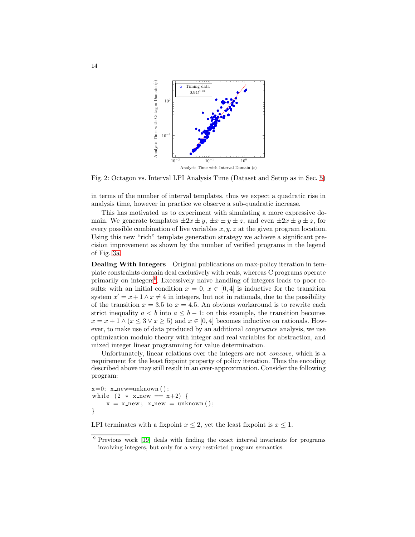<span id="page-13-0"></span>

Fig. 2: Octagon vs. Interval LPI Analysis Time (Dataset and Setup as in Sec. [5\)](#page-15-0)

in terms of the number of interval templates, thus we expect a quadratic rise in analysis time, however in practice we observe a sub-quadratic increase.

This has motivated us to experiment with simulating a more expressive domain. We generate templates  $\pm 2x \pm y$ ,  $\pm x \pm y \pm z$ , and even  $\pm 2x \pm y \pm z$ , for every possible combination of live variables  $x, y, z$  at the given program location. Using this new "rich" template generation strategy we achieve a significant precision improvement as shown by the number of verified programs in the legend of Fig. [3a.](#page-16-0)

Dealing With Integers Original publications on max-policy iteration in template constraints domain deal exclusively with reals, whereas C programs operate primarily on integers<sup>[9](#page-13-1)</sup>. Excessively naive handling of integers leads to poor results: with an initial condition  $x = 0, x \in [0, 4]$  is inductive for the transition system  $x' = x + 1 \wedge x \neq 4$  in integers, but not in rationals, due to the possibility of the transition  $x = 3.5$  to  $x = 4.5$ . An obvious workaround is to rewrite each strict inequality  $a < b$  into  $a \leq b - 1$ : on this example, the transition becomes  $x = x + 1 \wedge (x \leq 3 \vee x \geq 5)$  and  $x \in [0, 4]$  becomes inductive on rationals. However, to make use of data produced by an additional congruence analysis, we use optimization modulo theory with integer and real variables for abstraction, and mixed integer linear programming for value determination.

Unfortunately, linear relations over the integers are not concave, which is a requirement for the least fixpoint property of policy iteration. Thus the encoding described above may still result in an over-approximation. Consider the following program:

```
x=0; x_new=unknown();
while (2 * x_new == x+2) {
    x = x_new; x_new = unknown();}
```
LPI terminates with a fixpoint  $x \leq 2$ , yet the least fixpoint is  $x \leq 1$ .

<span id="page-13-1"></span><sup>9</sup> Previous work [\[19\]](#page-18-9) deals with finding the exact interval invariants for programs involving integers, but only for a very restricted program semantics.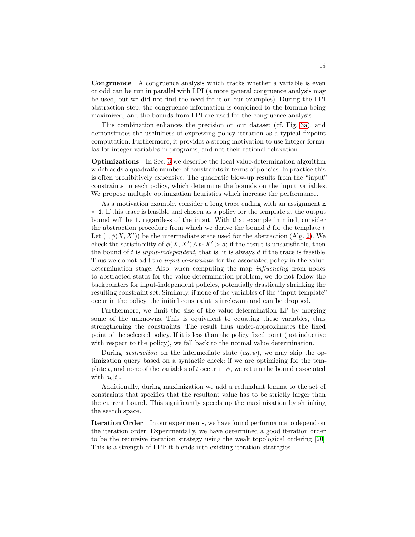Congruence A congruence analysis which tracks whether a variable is even or odd can be run in parallel with LPI (a more general congruence analysis may be used, but we did not find the need for it on our examples). During the LPI abstraction step, the congruence information is conjoined to the formula being maximized, and the bounds from LPI are used for the congruence analysis.

This combination enhances the precision on our dataset (cf. Fig. [3a\)](#page-16-0), and demonstrates the usefulness of expressing policy iteration as a typical fixpoint computation. Furthermore, it provides a strong motivation to use integer formulas for integer variables in programs, and not their rational relaxation.

Optimizations In Sec. [3](#page-6-0) we describe the local value-determination algorithm which adds a quadratic number of constraints in terms of policies. In practice this is often prohibitively expensive. The quadratic blow-up results from the "input" constraints to each policy, which determine the bounds on the input variables. We propose multiple optimization heuristics which increase the performance.

As a motivation example, consider a long trace ending with an assignment x  $= 1$ . If this trace is feasible and chosen as a policy for the template x, the output bound will be 1, regardless of the input. With that example in mind, consider the abstraction procedure from which we derive the bound  $d$  for the template  $t$ . Let  $( \Box, \phi(X, X') )$  be the intermediate state used for the abstraction (Alg. [2\)](#page-9-0). We check the satisfiability of  $\phi(X, X') \wedge t \cdot X' > d$ ; if the result is unsatisfiable, then the bound of t is *input-independent*, that is, it is always  $d$  if the trace is feasible. Thus we do not add the *input constraints* for the associated policy in the valuedetermination stage. Also, when computing the map *influencing* from nodes to abstracted states for the value-determination problem, we do not follow the backpointers for input-independent policies, potentially drastically shrinking the resulting constraint set. Similarly, if none of the variables of the "input template" occur in the policy, the initial constraint is irrelevant and can be dropped.

Furthermore, we limit the size of the value-determination LP by merging some of the unknowns. This is equivalent to equating these variables, thus strengthening the constraints. The result thus under-approximates the fixed point of the selected policy. If it is less than the policy fixed point (not inductive with respect to the policy), we fall back to the normal value determination.

During *abstraction* on the intermediate state  $(a_0, \psi)$ , we may skip the optimization query based on a syntactic check: if we are optimizing for the template t, and none of the variables of t occur in  $\psi$ , we return the bound associated with  $a_0[t]$ .

Additionally, during maximization we add a redundant lemma to the set of constraints that specifies that the resultant value has to be strictly larger than the current bound. This significantly speeds up the maximization by shrinking the search space.

**Iteration Order** In our experiments, we have found performance to depend on the iteration order. Experimentally, we have determined a good iteration order to be the recursive iteration strategy using the weak topological ordering [\[20\]](#page-18-10). This is a strength of LPI: it blends into existing iteration strategies.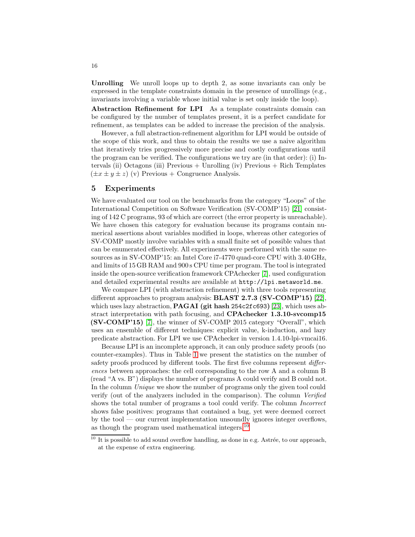Unrolling We unroll loops up to depth 2, as some invariants can only be expressed in the template constraints domain in the presence of unrollings (e.g., invariants involving a variable whose initial value is set only inside the loop).

Abstraction Refinement for LPI As a template constraints domain can be configured by the number of templates present, it is a perfect candidate for refinement, as templates can be added to increase the precision of the analysis.

However, a full abstraction-refinement algorithm for LPI would be outside of the scope of this work, and thus to obtain the results we use a naive algorithm that iteratively tries progressively more precise and costly configurations until the program can be verified. The configurations we try are (in that order): (i) Intervals (ii) Octagons (iii) Previous + Unrolling (iv) Previous + Rich Templates  $(\pm x \pm y \pm z)$  (v) Previous + Congruence Analysis.

## <span id="page-15-0"></span>5 Experiments

We have evaluated our tool on the benchmarks from the category "Loops" of the International Competition on Software Verification (SV-COMP'15) [\[21\]](#page-18-11) consisting of 142 C programs, 93 of which are correct (the error property is unreachable). We have chosen this category for evaluation because its programs contain numerical assertions about variables modified in loops, whereas other categories of SV-COMP mostly involve variables with a small finite set of possible values that can be enumerated effectively. All experiments were performed with the same resources as in SV-COMP'15: an Intel Core i7-4770 quad-core CPU with 3.40 GHz, and limits of 15 GB RAM and 900 s CPU time per program. The tool is integrated inside the open-source verification framework CPAchecker [\[7\]](#page-17-5), used configuration and detailed experimental results are available at http://lpi.metaworld.me.

We compare LPI (with abstraction refinement) with three tools representing different approaches to program analysis: **BLAST 2.7.3 (SV-COMP'15)** [\[22\]](#page-18-12), which uses lazy abstraction, **PAGAI** (git hash 254c2fc693) [\[23\]](#page-18-13), which uses abstract interpretation with path focusing, and CPAchecker 1.3.10-svcomp15 (SV-COMP'15) [\[7\]](#page-17-5), the winner of SV-COMP 2015 category "Overall", which uses an ensemble of different techniques: explicit value, k-induction, and lazy predicate abstraction. For LPI we use CPAchecker in version 1.4.10-lpi-vmcai16.

Because LPI is an incomplete approach, it can only produce safety proofs (no counter-examples). Thus in Table [1](#page-16-1) we present the statistics on the number of safety proofs produced by different tools. The first five columns represent *differ*ences between approaches: the cell corresponding to the row A and a column B (read "A vs. B") displays the number of programs A could verify and B could not. In the column Unique we show the number of programs only the given tool could verify (out of the analyzers included in the comparison). The column Verified shows the total number of programs a tool could verify. The column Incorrect shows false positives: programs that contained a bug, yet were deemed correct by the tool — our current implementation unsoundly ignores integer overflows, as though the program used mathematical integers.<sup>[10](#page-15-1)</sup>

<span id="page-15-1"></span> $10$  It is possible to add sound overflow handling, as done in e.g. Astrée, to our approach, at the expense of extra engineering.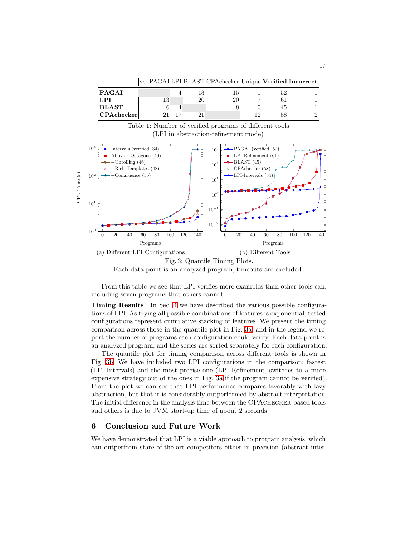<span id="page-16-1"></span>

|                   |    |    | vs. PAGAI LPI BLAST CPAchecker Unique Verified Incorrect |    |  |
|-------------------|----|----|----------------------------------------------------------|----|--|
| <b>PAGAI</b>      |    |    |                                                          |    |  |
| LPI               | 13 | 20 | 20                                                       |    |  |
| <b>BLAST</b>      |    |    |                                                          | 45 |  |
| <b>CPAchecker</b> |    |    |                                                          |    |  |

Table 1: Number of verified programs of different tools

<span id="page-16-0"></span>

(LPI in abstraction-refinement mode)



From this table we see that LPI verifies more examples than other tools can, including seven programs that others cannot.

Timing Results In Sec. [4](#page-12-0) we have described the various possible configurations of LPI. As trying all possible combinations of features is exponential, tested configurations represent cumulative stacking of features. We present the timing comparison across those in the quantile plot in Fig. [3a,](#page-16-0) and in the legend we report the number of programs each configuration could verify. Each data point is an analyzed program, and the series are sorted separately for each configuration.

The quantile plot for timing comparison across different tools is shown in Fig. [3b.](#page-16-0) We have included two LPI configurations in the comparison: fastest (LPI-Intervals) and the most precise one (LPI-Refinement, switches to a more expensive strategy out of the ones in Fig. [3a](#page-16-0) if the program cannot be verified). From the plot we can see that LPI performance compares favorably with lazy abstraction, but that it is considerably outperformed by abstract interpretation. The initial difference in the analysis time between the CPAchecker-based tools and others is due to JVM start-up time of about 2 seconds.

## 6 Conclusion and Future Work

We have demonstrated that LPI is a viable approach to program analysis, which can outperform state-of-the-art competitors either in precision (abstract inter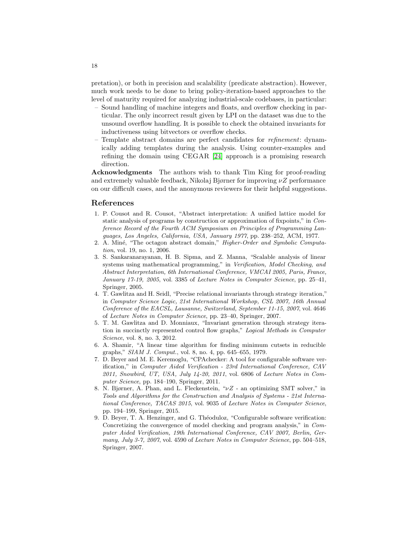pretation), or both in precision and scalability (predicate abstraction). However, much work needs to be done to bring policy-iteration-based approaches to the level of maturity required for analyzing industrial-scale codebases, in particular:

- Sound handling of machine integers and floats, and overflow checking in particular. The only incorrect result given by LPI on the dataset was due to the unsound overflow handling. It is possible to check the obtained invariants for inductiveness using bitvectors or overflow checks.
- Template abstract domains are perfect candidates for refinement: dynamically adding templates during the analysis. Using counter-examples and refining the domain using CEGAR [\[24\]](#page-19-0) approach is a promising research direction.

Acknowledgments The authors wish to thank Tim King for proof-reading and extremely valuable feedback, Nikolaj Bjørner for improving  $\nu Z$  performance on our difficult cases, and the anonymous reviewers for their helpful suggestions.

#### <span id="page-17-0"></span>References

- 1. P. Cousot and R. Cousot, "Abstract interpretation: A unified lattice model for static analysis of programs by construction or approximation of fixpoints," in Conference Record of the Fourth ACM Symposium on Principles of Programming Languages, Los Angeles, California, USA, January 1977, pp. 238–252, ACM, 1977.
- 2. A. Miné, "The octagon abstract domain," Higher-Order and Symbolic Computation, vol. 19, no. 1, 2006.
- <span id="page-17-1"></span>3. S. Sankaranarayanan, H. B. Sipma, and Z. Manna, "Scalable analysis of linear systems using mathematical programming," in Verification, Model Checking, and Abstract Interpretation, 6th International Conference, VMCAI 2005, Paris, France, January 17-19, 2005, vol. 3385 of Lecture Notes in Computer Science, pp. 25–41, Springer, 2005.
- <span id="page-17-2"></span>4. T. Gawlitza and H. Seidl, "Precise relational invariants through strategy iteration," in Computer Science Logic, 21st International Workshop, CSL 2007, 16th Annual Conference of the EACSL, Lausanne, Switzerland, September 11-15, 2007, vol. 4646 of Lecture Notes in Computer Science, pp. 23–40, Springer, 2007.
- <span id="page-17-3"></span>5. T. M. Gawlitza and D. Monniaux, "Invariant generation through strategy iteration in succinctly represented control flow graphs," Logical Methods in Computer Science, vol. 8, no. 3, 2012.
- <span id="page-17-4"></span>6. A. Shamir, "A linear time algorithm for finding minimum cutsets in reducible graphs," SIAM J. Comput., vol. 8, no. 4, pp. 645–655, 1979.
- <span id="page-17-5"></span>7. D. Beyer and M. E. Keremoglu, "CPAchecker: A tool for configurable software verification," in Computer Aided Verification - 23rd International Conference, CAV 2011, Snowbird, UT, USA, July 14-20, 2011, vol. 6806 of Lecture Notes in Computer Science, pp. 184–190, Springer, 2011.
- <span id="page-17-6"></span>8. N. Bjørner, A. Phan, and L. Fleckenstein, " $\nu Z$  - an optimizing SMT solver," in Tools and Algorithms for the Construction and Analysis of Systems - 21st International Conference, TACAS 2015, vol. 9035 of Lecture Notes in Computer Science, pp. 194–199, Springer, 2015.
- <span id="page-17-7"></span>9. D. Beyer, T. A. Henzinger, and G. Théoduloz, "Configurable software verification: Concretizing the convergence of model checking and program analysis," in Computer Aided Verification, 19th International Conference, CAV 2007, Berlin, Germany, July 3-7, 2007, vol. 4590 of Lecture Notes in Computer Science, pp. 504–518, Springer, 2007.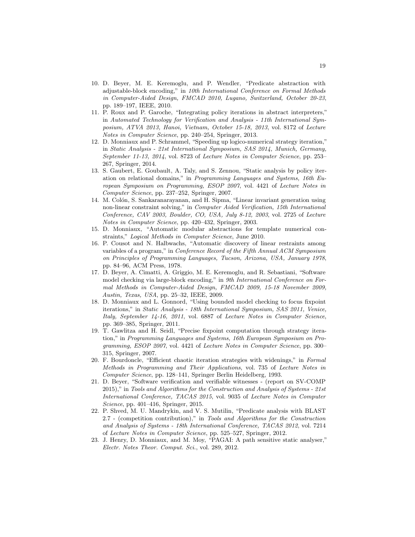- <span id="page-18-0"></span>10. D. Beyer, M. E. Keremoglu, and P. Wendler, "Predicate abstraction with adjustable-block encoding," in 10th International Conference on Formal Methods in Computer-Aided Design, FMCAD 2010, Lugano, Switzerland, October 20-23, pp. 189–197, IEEE, 2010.
- <span id="page-18-1"></span>11. P. Roux and P. Garoche, "Integrating policy iterations in abstract interpreters," in Automated Technology for Verification and Analysis - 11th International Symposium, ATVA 2013, Hanoi, Vietnam, October 15-18, 2013, vol. 8172 of Lecture Notes in Computer Science, pp. 240–254, Springer, 2013.
- <span id="page-18-2"></span>12. D. Monniaux and P. Schrammel, "Speeding up logico-numerical strategy iteration," in Static Analysis - 21st International Symposium, SAS 2014, Munich, Germany, September 11-13, 2014, vol. 8723 of Lecture Notes in Computer Science, pp. 253– 267, Springer, 2014.
- <span id="page-18-3"></span>13. S. Gaubert, E. Goubault, A. Taly, and S. Zennou, "Static analysis by policy iteration on relational domains," in Programming Languages and Systems, 16th European Symposium on Programming, ESOP 2007, vol. 4421 of Lecture Notes in Computer Science, pp. 237–252, Springer, 2007.
- <span id="page-18-4"></span>14. M. Colón, S. Sankaranarayanan, and H. Sipma, "Linear invariant generation using non-linear constraint solving," in Computer Aided Verification, 15th International Conference, CAV 2003, Boulder, CO, USA, July 8-12, 2003, vol. 2725 of Lecture Notes in Computer Science, pp. 420–432, Springer, 2003.
- <span id="page-18-5"></span>15. D. Monniaux, "Automatic modular abstractions for template numerical constraints," Logical Methods in Computer Science, June 2010.
- <span id="page-18-6"></span>16. P. Cousot and N. Halbwachs, "Automatic discovery of linear restraints among variables of a program," in Conference Record of the Fifth Annual ACM Symposium on Principles of Programming Languages, Tucson, Arizona, USA, January 1978, pp. 84–96, ACM Press, 1978.
- <span id="page-18-7"></span>17. D. Beyer, A. Cimatti, A. Griggio, M. E. Keremoglu, and R. Sebastiani, "Software model checking via large-block encoding," in 9th International Conference on Formal Methods in Computer-Aided Design, FMCAD 2009, 15-18 November 2009, Austin, Texas, USA, pp. 25–32, IEEE, 2009.
- <span id="page-18-8"></span>18. D. Monniaux and L. Gonnord, "Using bounded model checking to focus fixpoint iterations," in Static Analysis - 18th International Symposium, SAS 2011, Venice, Italy, September 14-16, 2011, vol. 6887 of Lecture Notes in Computer Science, pp. 369–385, Springer, 2011.
- <span id="page-18-9"></span>19. T. Gawlitza and H. Seidl, "Precise fixpoint computation through strategy iteration," in Programming Languages and Systems, 16th European Symposium on Programming, ESOP 2007, vol. 4421 of Lecture Notes in Computer Science, pp. 300– 315, Springer, 2007.
- <span id="page-18-10"></span>20. F. Bourdoncle, "Efficient chaotic iteration strategies with widenings," in Formal Methods in Programming and Their Applications, vol. 735 of Lecture Notes in Computer Science, pp. 128–141, Springer Berlin Heidelberg, 1993.
- <span id="page-18-11"></span>21. D. Beyer, "Software verification and verifiable witnesses - (report on SV-COMP 2015)," in Tools and Algorithms for the Construction and Analysis of Systems - 21st International Conference, TACAS 2015, vol. 9035 of Lecture Notes in Computer Science, pp. 401–416, Springer, 2015.
- <span id="page-18-12"></span>22. P. Shved, M. U. Mandrykin, and V. S. Mutilin, "Predicate analysis with BLAST 2.7 - (competition contribution)," in Tools and Algorithms for the Construction and Analysis of Systems - 18th International Conference, TACAS 2012, vol. 7214 of Lecture Notes in Computer Science, pp. 525–527, Springer, 2012.
- <span id="page-18-13"></span>23. J. Henry, D. Monniaux, and M. Moy, "PAGAI: A path sensitive static analyser," Electr. Notes Theor. Comput. Sci., vol. 289, 2012.